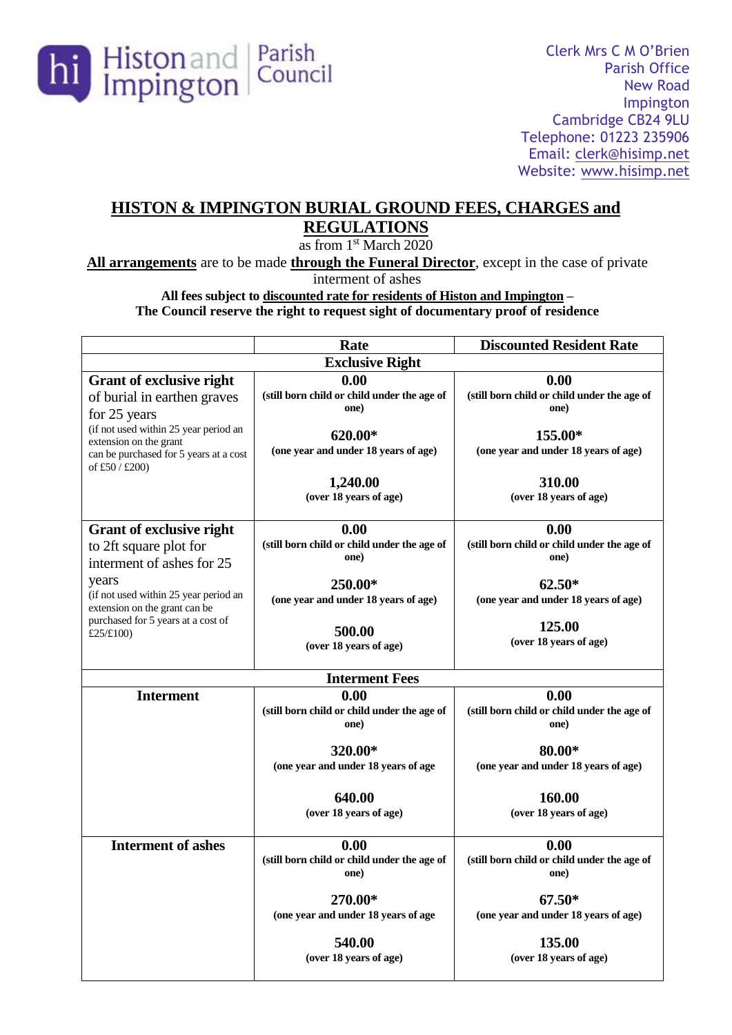

# **HISTON & IMPINGTON BURIAL GROUND FEES, CHARGES and REGULATIONS**

as from 1<sup>st</sup> March 2020

**All arrangements** are to be made **through the Funeral Director**, except in the case of private

interment of ashes

**All fees subject to discounted rate for residents of Histon and Impington –**

**The Council reserve the right to request sight of documentary proof of residence**

|                                                                                                                             | Rate                                                        | <b>Discounted Resident Rate</b>                             |  |
|-----------------------------------------------------------------------------------------------------------------------------|-------------------------------------------------------------|-------------------------------------------------------------|--|
| <b>Exclusive Right</b>                                                                                                      |                                                             |                                                             |  |
| <b>Grant of exclusive right</b><br>of burial in earthen graves<br>for 25 years                                              | 0.00<br>(still born child or child under the age of<br>one) | 0.00<br>(still born child or child under the age of<br>one) |  |
| (if not used within 25 year period an<br>extension on the grant<br>can be purchased for 5 years at a cost<br>of £50 / £200) | 620.00*<br>(one year and under 18 years of age)             | 155.00*<br>(one year and under 18 years of age)             |  |
|                                                                                                                             | 1,240.00<br>(over 18 years of age)                          | 310.00<br>(over 18 years of age)                            |  |
| <b>Grant of exclusive right</b><br>to 2ft square plot for<br>interment of ashes for 25                                      | 0.00<br>(still born child or child under the age of<br>one) | 0.00<br>(still born child or child under the age of<br>one) |  |
| years<br>(if not used within 25 year period an<br>extension on the grant can be<br>purchased for 5 years at a cost of       | 250.00*<br>(one year and under 18 years of age)             | $62.50*$<br>(one year and under 18 years of age)            |  |
| £25/£100)                                                                                                                   | 500.00<br>(over 18 years of age)                            | 125.00<br>(over 18 years of age)                            |  |
| <b>Interment Fees</b>                                                                                                       |                                                             |                                                             |  |
| <b>Interment</b>                                                                                                            | 0.00<br>(still born child or child under the age of<br>one) | 0.00<br>(still born child or child under the age of<br>one) |  |
|                                                                                                                             | 320.00*<br>(one year and under 18 years of age              | 80.00*<br>(one year and under 18 years of age)              |  |
|                                                                                                                             | 640.00<br>(over 18 years of age)                            | 160.00<br>(over 18 years of age)                            |  |
| <b>Interment of ashes</b>                                                                                                   | 0.00<br>(still born child or child under the age of<br>one) | 0.00<br>(still born child or child under the age of<br>one) |  |
|                                                                                                                             | 270.00*<br>(one year and under 18 years of age              | $67.50*$<br>(one year and under 18 years of age)            |  |
|                                                                                                                             | 540.00<br>(over 18 years of age)                            | 135.00<br>(over 18 years of age)                            |  |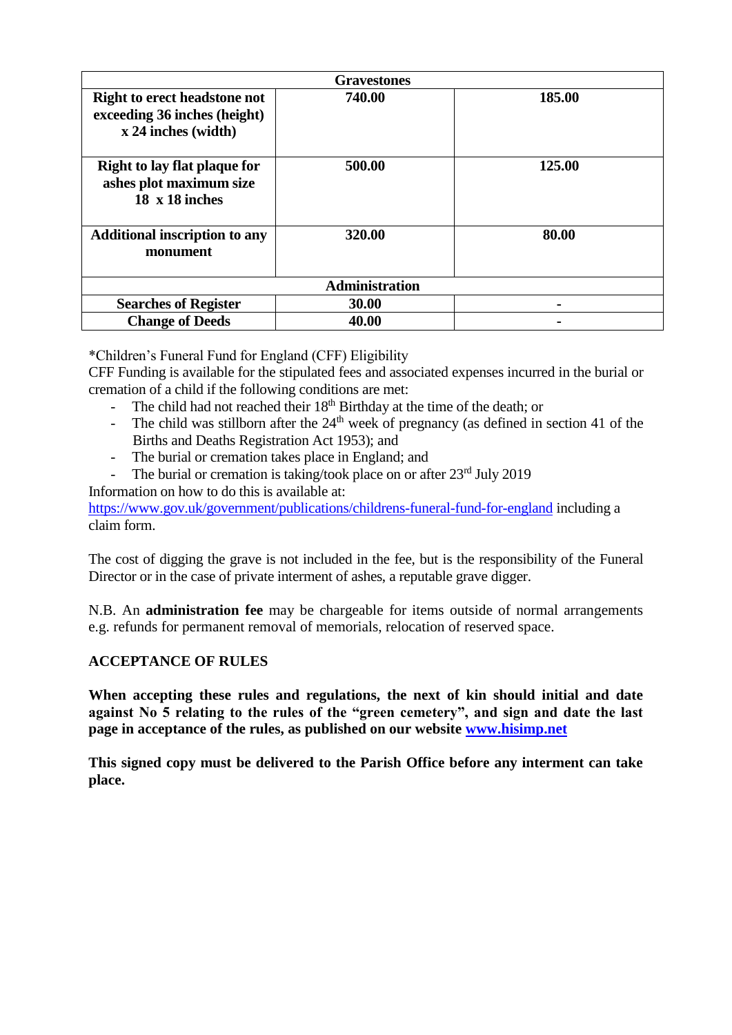| <b>Gravestones</b>                                                                         |        |        |  |
|--------------------------------------------------------------------------------------------|--------|--------|--|
| <b>Right to erect headstone not</b><br>exceeding 36 inches (height)<br>x 24 inches (width) | 740.00 | 185.00 |  |
| <b>Right to lay flat plaque for</b><br>ashes plot maximum size<br>$18 \times 18$ inches    | 500.00 | 125.00 |  |
| <b>Additional inscription to any</b><br>monument                                           | 320.00 | 80.00  |  |
| <b>Administration</b>                                                                      |        |        |  |
| <b>Searches of Register</b>                                                                | 30.00  |        |  |
| <b>Change of Deeds</b>                                                                     | 40.00  |        |  |

\*Children's Funeral Fund for England (CFF) Eligibility

CFF Funding is available for the stipulated fees and associated expenses incurred in the burial or cremation of a child if the following conditions are met:

- The child had not reached their  $18<sup>th</sup>$  Birthday at the time of the death; or
- The child was stillborn after the  $24<sup>th</sup>$  week of pregnancy (as defined in section 41 of the Births and Deaths Registration Act 1953); and
- The burial or cremation takes place in England; and
- The burial or cremation is taking/took place on or after  $23<sup>rd</sup>$  July 2019

Information on how to do this is available at:

<https://www.gov.uk/government/publications/childrens-funeral-fund-for-england> including a claim form.

The cost of digging the grave is not included in the fee, but is the responsibility of the Funeral Director or in the case of private interment of ashes, a reputable grave digger.

N.B. An **administration fee** may be chargeable for items outside of normal arrangements e.g. refunds for permanent removal of memorials, relocation of reserved space.

## **ACCEPTANCE OF RULES**

**When accepting these rules and regulations, the next of kin should initial and date against No 5 relating to the rules of the "green cemetery", and sign and date the last page in acceptance of the rules, as published on our website [www.hisimp.net](http://www.hisimp.net/)**

**This signed copy must be delivered to the Parish Office before any interment can take place.**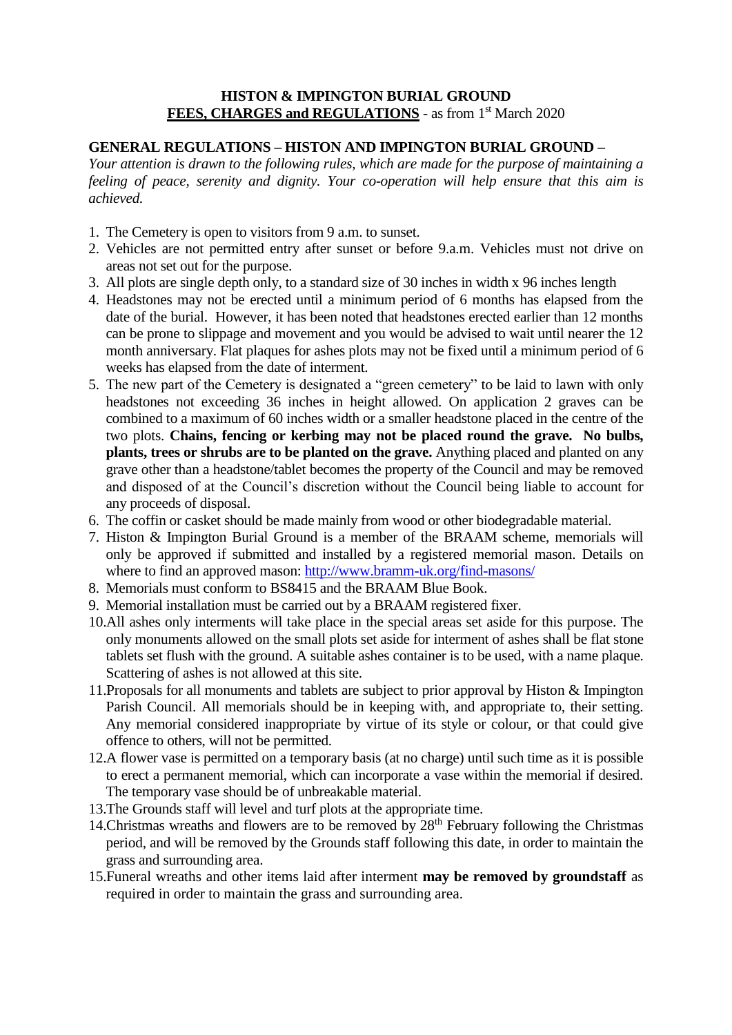### **HISTON & IMPINGTON BURIAL GROUND** FEES, CHARGES and REGULATIONS - as from 1<sup>st</sup> March 2020

## **GENERAL REGULATIONS – HISTON AND IMPINGTON BURIAL GROUND –**

*Your attention is drawn to the following rules, which are made for the purpose of maintaining a feeling of peace, serenity and dignity. Your co-operation will help ensure that this aim is achieved.*

- 1. The Cemetery is open to visitors from 9 a.m. to sunset.
- 2. Vehicles are not permitted entry after sunset or before 9.a.m. Vehicles must not drive on areas not set out for the purpose.
- 3. All plots are single depth only, to a standard size of 30 inches in width x 96 inches length
- 4. Headstones may not be erected until a minimum period of 6 months has elapsed from the date of the burial. However, it has been noted that headstones erected earlier than 12 months can be prone to slippage and movement and you would be advised to wait until nearer the 12 month anniversary. Flat plaques for ashes plots may not be fixed until a minimum period of 6 weeks has elapsed from the date of interment.
- 5. The new part of the Cemetery is designated a "green cemetery" to be laid to lawn with only headstones not exceeding 36 inches in height allowed. On application 2 graves can be combined to a maximum of 60 inches width or a smaller headstone placed in the centre of the two plots. **Chains, fencing or kerbing may not be placed round the grave. No bulbs, plants, trees or shrubs are to be planted on the grave.** Anything placed and planted on any grave other than a headstone/tablet becomes the property of the Council and may be removed and disposed of at the Council's discretion without the Council being liable to account for any proceeds of disposal.
- 6. The coffin or casket should be made mainly from wood or other biodegradable material.
- 7. Histon & Impington Burial Ground is a member of the BRAAM scheme, memorials will only be approved if submitted and installed by a registered memorial mason. Details on where to find an approved mason:<http://www.bramm-uk.org/find-masons/>
- 8. Memorials must conform to BS8415 and the BRAAM Blue Book.
- 9. Memorial installation must be carried out by a BRAAM registered fixer.
- 10.All ashes only interments will take place in the special areas set aside for this purpose. The only monuments allowed on the small plots set aside for interment of ashes shall be flat stone tablets set flush with the ground. A suitable ashes container is to be used, with a name plaque. Scattering of ashes is not allowed at this site.
- 11.Proposals for all monuments and tablets are subject to prior approval by Histon & Impington Parish Council. All memorials should be in keeping with, and appropriate to, their setting. Any memorial considered inappropriate by virtue of its style or colour, or that could give offence to others, will not be permitted.
- 12.A flower vase is permitted on a temporary basis (at no charge) until such time as it is possible to erect a permanent memorial, which can incorporate a vase within the memorial if desired. The temporary vase should be of unbreakable material.
- 13.The Grounds staff will level and turf plots at the appropriate time.
- 14. Christmas wreaths and flowers are to be removed by  $28<sup>th</sup>$  February following the Christmas period, and will be removed by the Grounds staff following this date, in order to maintain the grass and surrounding area.
- 15.Funeral wreaths and other items laid after interment **may be removed by groundstaff** as required in order to maintain the grass and surrounding area.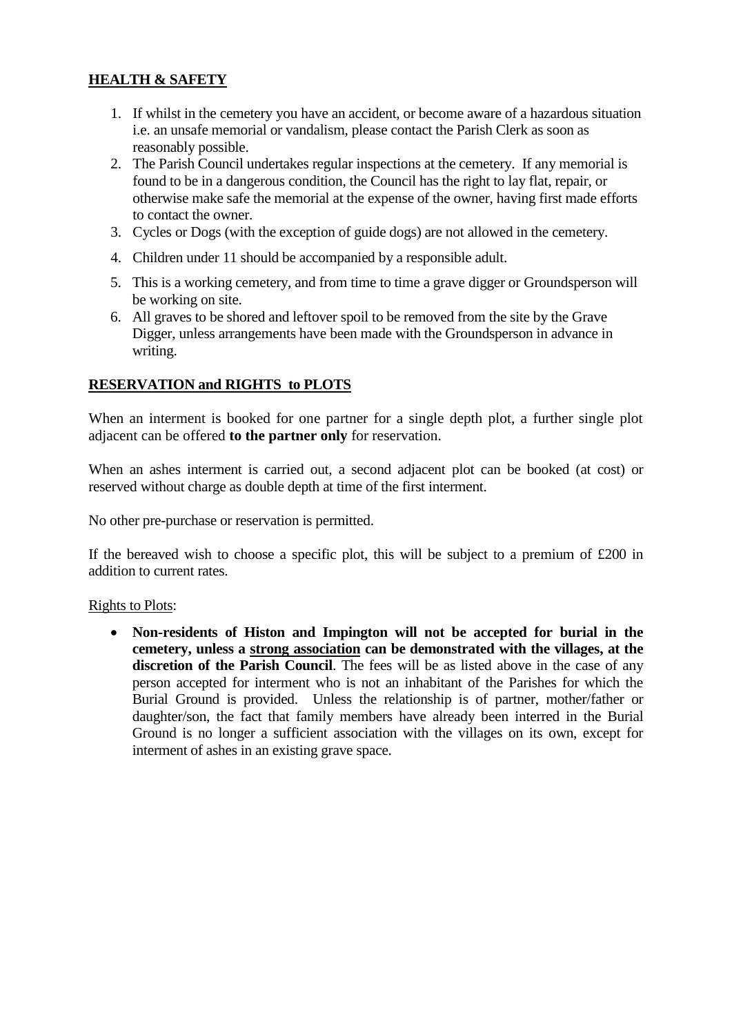## **HEALTH & SAFETY**

- 1. If whilst in the cemetery you have an accident, or become aware of a hazardous situation i.e. an unsafe memorial or vandalism, please contact the Parish Clerk as soon as reasonably possible.
- 2. The Parish Council undertakes regular inspections at the cemetery. If any memorial is found to be in a dangerous condition, the Council has the right to lay flat, repair, or otherwise make safe the memorial at the expense of the owner, having first made efforts to contact the owner.
- 3. Cycles or Dogs (with the exception of guide dogs) are not allowed in the cemetery.
- 4. Children under 11 should be accompanied by a responsible adult.
- 5. This is a working cemetery, and from time to time a grave digger or Groundsperson will be working on site.
- 6. All graves to be shored and leftover spoil to be removed from the site by the Grave Digger, unless arrangements have been made with the Groundsperson in advance in writing.

#### **RESERVATION and RIGHTS to PLOTS**

When an interment is booked for one partner for a single depth plot, a further single plot adjacent can be offered **to the partner only** for reservation.

When an ashes interment is carried out, a second adjacent plot can be booked (at cost) or reserved without charge as double depth at time of the first interment.

No other pre-purchase or reservation is permitted.

If the bereaved wish to choose a specific plot, this will be subject to a premium of  $£200$  in addition to current rates.

#### Rights to Plots:

 **Non-residents of Histon and Impington will not be accepted for burial in the cemetery, unless a strong association can be demonstrated with the villages, at the**  discretion of the Parish Council. The fees will be as listed above in the case of any person accepted for interment who is not an inhabitant of the Parishes for which the Burial Ground is provided. Unless the relationship is of partner, mother/father or daughter/son, the fact that family members have already been interred in the Burial Ground is no longer a sufficient association with the villages on its own, except for interment of ashes in an existing grave space.